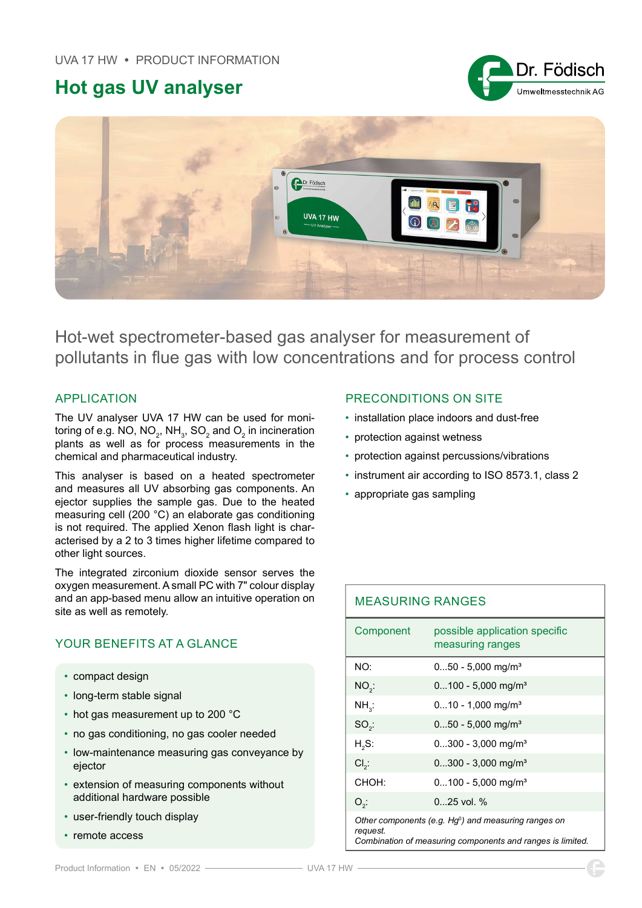# Hot gas UV analyser





Hot-wet spectrometer-based gas analyser for measurement of pollutants in flue gas with low concentrations and for process control

### APPLICATION

The UV analyser UVA 17 HW can be used for monitoring of e.g. NO, NO $_{\textrm{\tiny{2}}}$ , NH $_{\textrm{\tiny{3}}}$ , SO $_{\textrm{\tiny{2}}}$  and O $_{\textrm{\tiny{2}}}$  in incineration plants as well as for process measurements in the chemical and pharmaceutical industry.

This analyser is based on a heated spectrometer and measures all UV absorbing gas components. An ejector supplies the sample gas. Due to the heated measuring cell (200 °C) an elaborate gas conditioning is not required. The applied Xenon flash light is characterised by a 2 to 3 times higher lifetime compared to other light sources.

The integrated zirconium dioxide sensor serves the oxygen measurement. A small PC with 7" colour display and an app-based menu allow an intuitive operation on site as well as remotely.

## YOUR BENEFITS AT A GLANCE

- compact design
- long-term stable signal
- hot gas measurement up to 200 °C
- no gas conditioning, no gas cooler needed
- low-maintenance measuring gas conveyance by ejector
- extension of measuring components without additional hardware possible
- user-friendly touch display
- remote access

#### PRECONDITIONS ON SITE

- installation place indoors and dust-free
- protection against wetness
- protection against percussions/vibrations
- instrument air according to ISO 8573.1, class 2
- appropriate gas sampling

| <b>MEASURING RANGES</b>                                                                                                           |                                                   |
|-----------------------------------------------------------------------------------------------------------------------------------|---------------------------------------------------|
| Component                                                                                                                         | possible application specific<br>measuring ranges |
| NO:                                                                                                                               | $050 - 5,000$ mg/m <sup>3</sup>                   |
| $NO2$ :                                                                                                                           | $0100 - 5,000$ mg/m <sup>3</sup>                  |
| $NH_{3}$ :                                                                                                                        | $010 - 1,000$ mg/m <sup>3</sup>                   |
| $SO2$ :                                                                                                                           | $050 - 5,000$ mg/m <sup>3</sup>                   |
| $H2S$ :                                                                                                                           | $0300 - 3,000$ mg/m <sup>3</sup>                  |
| $Cl2$ :                                                                                                                           | $0300 - 3,000$ mg/m <sup>3</sup>                  |
| CHOH:                                                                                                                             | $0100 - 5,000$ mg/m <sup>3</sup>                  |
| $O_{2}$ :                                                                                                                         | $025$ vol. %                                      |
| Other components (e.g. $Hg^0$ ) and measuring ranges on<br>request.<br>Combination of measuring components and ranges is limited. |                                                   |